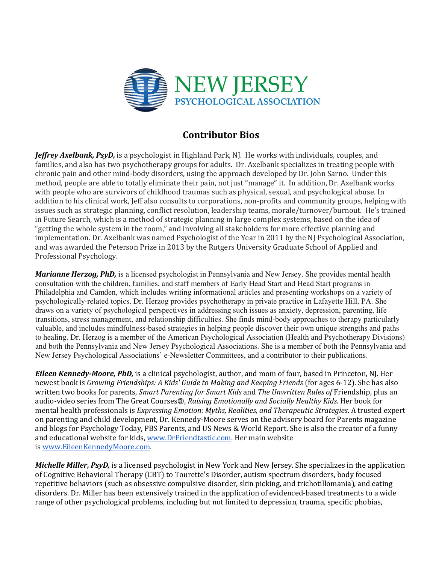

## Contributor Bios

Jeffrey Axelbank, PsyD, is a psychologist in Highland Park, NJ. He works with individuals, couples, and families, and also has two psychotherapy groups for adults. Dr. Axelbank specializes in treating people with chronic pain and other mind-body disorders, using the approach developed by Dr. John Sarno. Under this method, people are able to totally eliminate their pain, not just "manage" it. In addition, Dr. Axelbank works with people who are survivors of childhood traumas such as physical, sexual, and psychological abuse. In addition to his clinical work, Jeff also consults to corporations, non-profits and community groups, helping with issues such as strategic planning, conflict resolution, leadership teams, morale/turnover/burnout. He's trained in Future Search, which is a method of strategic planning in large complex systems, based on the idea of "getting the whole system in the room," and involving all stakeholders for more effective planning and implementation. Dr. Axelbank was named Psychologist of the Year in 2011 by the NJ Psychological Association, and was awarded the Peterson Prize in 2013 by the Rutgers University Graduate School of Applied and Professional Psychology.

**Marianne Herzog, PhD,** is a licensed psychologist in Pennsylvania and New Jersey. She provides mental health consultation with the children, families, and staff members of Early Head Start and Head Start programs in Philadelphia and Camden, which includes writing informational articles and presenting workshops on a variety of psychologically-related topics. Dr. Herzog provides psychotherapy in private practice in Lafayette Hill, PA. She draws on a variety of psychological perspectives in addressing such issues as anxiety, depression, parenting, life transitions, stress management, and relationship difficulties. She finds mind-body approaches to therapy particularly valuable, and includes mindfulness-based strategies in helping people discover their own unique strengths and paths to healing. Dr. Herzog is a member of the American Psychological Association (Health and Psychotherapy Divisions) and both the Pennsylvania and New Jersey Psychological Associations. She is a member of both the Pennsylvania and New Jersey Psychological Associations' e-Newsletter Committees, and a contributor to their publications.

**Eileen Kennedy-Moore, PhD,** is a clinical psychologist, author, and mom of four, based in Princeton, NJ. Her newest book is Growing Friendships: A Kids' Guide to Making and Keeping Friends (for ages 6-12). She has also written two books for parents, Smart Parenting for Smart Kids and The Unwritten Rules of Friendship, plus an audio-video series from The Great Courses®, Raising Emotionally and Socially Healthy Kids. Her book for mental health professionals is Expressing Emotion: Myths, Realities, and Therapeutic Strategies. A trusted expert on parenting and child development, Dr. Kennedy-Moore serves on the advisory board for Parents magazine and blogs for Psychology Today, PBS Parents, and US News & World Report. She is also the creator of a funny and educational website for kids, www.DrFriendtastic.com. Her main website is www.EileenKennedyMoore.com.

Michelle Miller, PsyD, is a licensed psychologist in New York and New Jersey. She specializes in the application of Cognitive Behavioral Therapy (CBT) to Tourette's Disorder, autism spectrum disorders, body focused repetitive behaviors (such as obsessive compulsive disorder, skin picking, and trichotillomania), and eating disorders. Dr. Miller has been extensively trained in the application of evidenced-based treatments to a wide range of other psychological problems, including but not limited to depression, trauma, specific phobias,